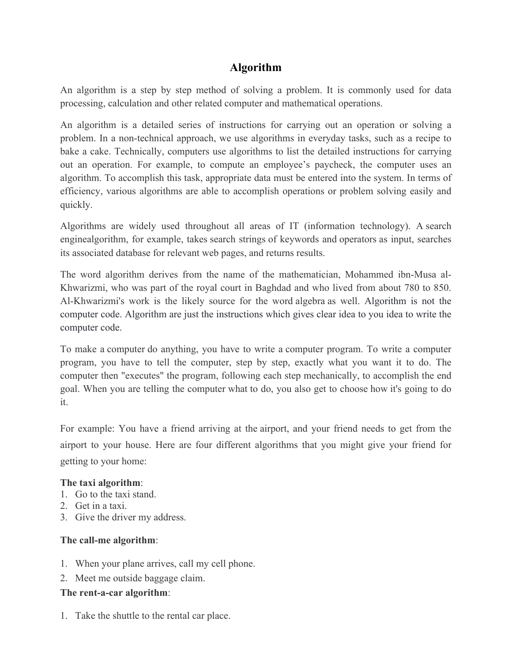# **Algorithm**

An algorithm is a step by step method of solving a problem. It is commonly used for data processing, calculation and other related computer and mathematical operations.

An algorithm is a detailed series of instructions for carrying out an operation or solving a problem. In a non-technical approach, we use algorithms in everyday tasks, such as a recipe to bake a cake. Technically, computers use algorithms to list the detailed instructions for carrying out an operation. For example, to compute an employee's paycheck, the computer uses an algorithm. To accomplish this task, appropriate data must be entered into the system. In terms of efficiency, various algorithms are able to accomplish operations or problem solving easily and quickly.

Algorithms are widely used throughout all areas of IT (information technology). A search enginealgorithm, for example, takes search strings of keywords and operators as input, searches its associated database for relevant web pages, and returns results.

The word algorithm derives from the name of the mathematician, Mohammed ibn-Musa al-Khwarizmi, who was part of the royal court in Baghdad and who lived from about 780 to 850. Al-Khwarizmi's work is the likely source for the word algebra as well. Algorithm is not the computer code. Algorithm are just the instructions which gives clear idea to you idea to write the computer code.

To make a computer do anything, you have to write a computer program. To write a computer program, you have to tell the computer, step by step, exactly what you want it to do. The computer then "executes" the program, following each step mechanically, to accomplish the end goal. When you are telling the computer what to do, you also get to choose how it's going to do it.

For example: You have a friend arriving at the airport, and your friend needs to get from the airport to your house. Here are four different algorithms that you might give your friend for getting to your home:

### **The taxi algorithm**:

- 1. Go to the taxi stand.
- 2. Get in a taxi.
- 3. Give the driver my address.

### **The call-me algorithm**:

- 1. When your plane arrives, call my cell phone.
- 2. Meet me outside baggage claim.

### **The rent-a-car algorithm**:

1. Take the shuttle to the rental car place.